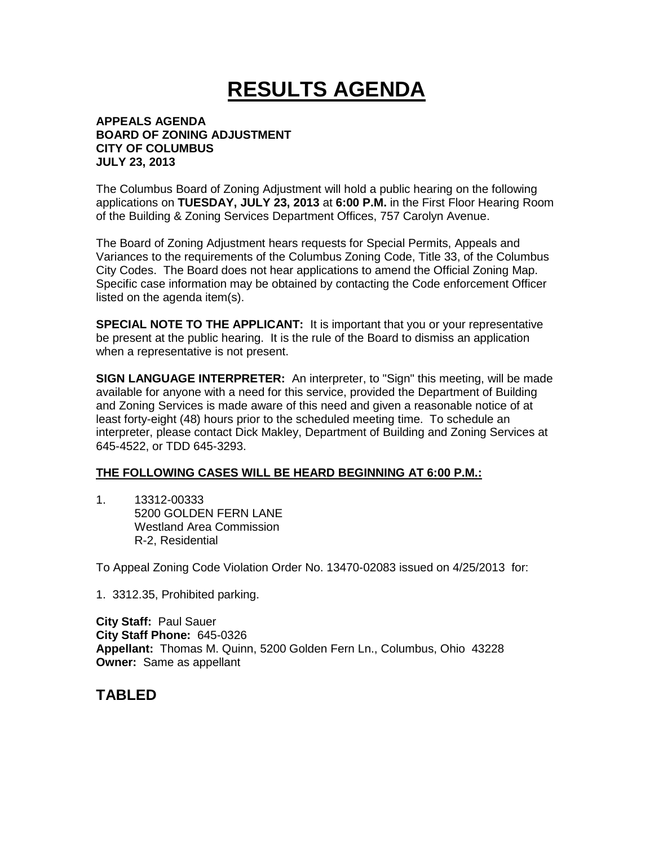# **RESULTS AGENDA**

#### **APPEALS AGENDA BOARD OF ZONING ADJUSTMENT CITY OF COLUMBUS JULY 23, 2013**

The Columbus Board of Zoning Adjustment will hold a public hearing on the following applications on **TUESDAY, JULY 23, 2013** at **6:00 P.M.** in the First Floor Hearing Room of the Building & Zoning Services Department Offices, 757 Carolyn Avenue.

The Board of Zoning Adjustment hears requests for Special Permits, Appeals and Variances to the requirements of the Columbus Zoning Code, Title 33, of the Columbus City Codes. The Board does not hear applications to amend the Official Zoning Map. Specific case information may be obtained by contacting the Code enforcement Officer listed on the agenda item(s).

**SPECIAL NOTE TO THE APPLICANT:** It is important that you or your representative be present at the public hearing. It is the rule of the Board to dismiss an application when a representative is not present.

**SIGN LANGUAGE INTERPRETER:** An interpreter, to "Sign" this meeting, will be made available for anyone with a need for this service, provided the Department of Building and Zoning Services is made aware of this need and given a reasonable notice of at least forty-eight (48) hours prior to the scheduled meeting time. To schedule an interpreter, please contact Dick Makley, Department of Building and Zoning Services at 645-4522, or TDD 645-3293.

#### **THE FOLLOWING CASES WILL BE HEARD BEGINNING AT 6:00 P.M.:**

1. 13312-00333 5200 GOLDEN FERN LANE Westland Area Commission R-2, Residential

To Appeal Zoning Code Violation Order No. 13470-02083 issued on 4/25/2013 for:

1. 3312.35, Prohibited parking.

**City Staff:** Paul Sauer **City Staff Phone:** 645-0326 **Appellant:** Thomas M. Quinn, 5200 Golden Fern Ln., Columbus, Ohio 43228 **Owner:** Same as appellant

## **TABLED**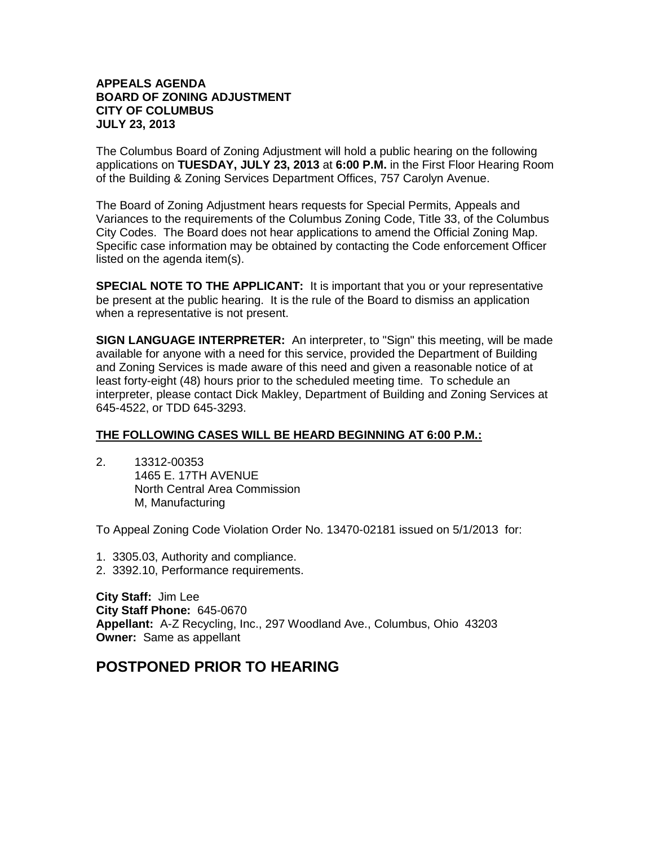#### **APPEALS AGENDA BOARD OF ZONING ADJUSTMENT CITY OF COLUMBUS JULY 23, 2013**

The Columbus Board of Zoning Adjustment will hold a public hearing on the following applications on **TUESDAY, JULY 23, 2013** at **6:00 P.M.** in the First Floor Hearing Room of the Building & Zoning Services Department Offices, 757 Carolyn Avenue.

The Board of Zoning Adjustment hears requests for Special Permits, Appeals and Variances to the requirements of the Columbus Zoning Code, Title 33, of the Columbus City Codes. The Board does not hear applications to amend the Official Zoning Map. Specific case information may be obtained by contacting the Code enforcement Officer listed on the agenda item(s).

**SPECIAL NOTE TO THE APPLICANT:** It is important that you or your representative be present at the public hearing. It is the rule of the Board to dismiss an application when a representative is not present.

**SIGN LANGUAGE INTERPRETER:** An interpreter, to "Sign" this meeting, will be made available for anyone with a need for this service, provided the Department of Building and Zoning Services is made aware of this need and given a reasonable notice of at least forty-eight (48) hours prior to the scheduled meeting time. To schedule an interpreter, please contact Dick Makley, Department of Building and Zoning Services at 645-4522, or TDD 645-3293.

#### **THE FOLLOWING CASES WILL BE HEARD BEGINNING AT 6:00 P.M.:**

2. 13312-00353 1465 E. 17TH AVENUE North Central Area Commission M, Manufacturing

To Appeal Zoning Code Violation Order No. 13470-02181 issued on 5/1/2013 for:

- 1. 3305.03, Authority and compliance.
- 2. 3392.10, Performance requirements.

**City Staff:** Jim Lee **City Staff Phone:** 645-0670 **Appellant:** A-Z Recycling, Inc., 297 Woodland Ave., Columbus, Ohio 43203 **Owner:** Same as appellant

# **POSTPONED PRIOR TO HEARING**